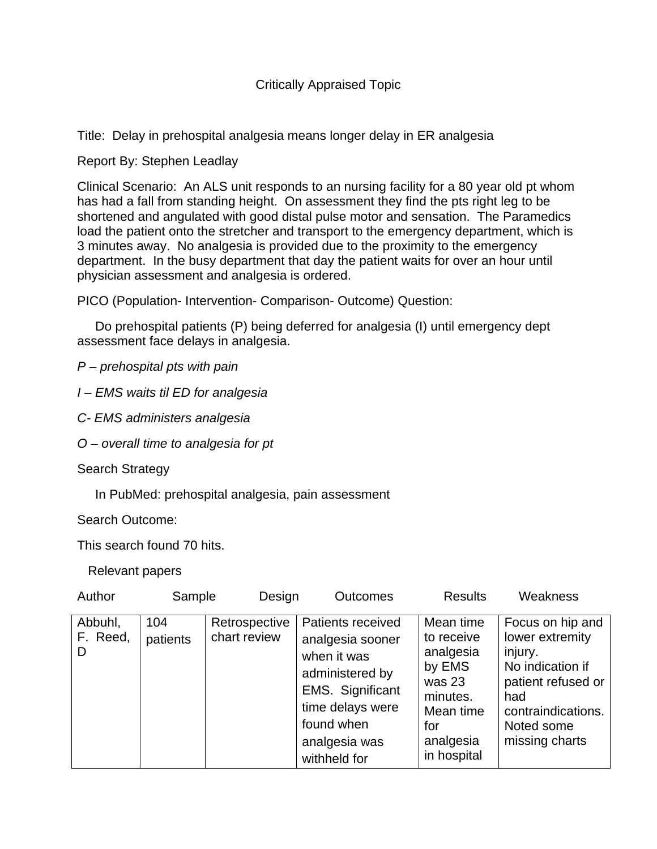## Critically Appraised Topic

Title: Delay in prehospital analgesia means longer delay in ER analgesia

Report By: Stephen Leadlay

Clinical Scenario: An ALS unit responds to an nursing facility for a 80 year old pt whom has had a fall from standing height. On assessment they find the pts right leg to be shortened and angulated with good distal pulse motor and sensation. The Paramedics load the patient onto the stretcher and transport to the emergency department, which is 3 minutes away. No analgesia is provided due to the proximity to the emergency department. In the busy department that day the patient waits for over an hour until physician assessment and analgesia is ordered.

PICO (Population- Intervention- Comparison- Outcome) Question:

 Do prehospital patients (P) being deferred for analgesia (I) until emergency dept assessment face delays in analgesia.

*P – prehospital pts with pain* 

*I – EMS waits til ED for analgesia* 

*C- EMS administers analgesia* 

*O – overall time to analgesia for pt* 

Search Strategy

In PubMed: prehospital analgesia, pain assessment

Search Outcome:

This search found 70 hits.

Relevant papers

| Author                   | Sample          | Design                        | <b>Outcomes</b>                                                                                                                                                       | <b>Results</b>                                                                                                         | Weakness                                                                                                                                              |
|--------------------------|-----------------|-------------------------------|-----------------------------------------------------------------------------------------------------------------------------------------------------------------------|------------------------------------------------------------------------------------------------------------------------|-------------------------------------------------------------------------------------------------------------------------------------------------------|
| Abbuhl,<br>F. Reed,<br>D | 104<br>patients | Retrospective<br>chart review | <b>Patients received</b><br>analgesia sooner<br>when it was<br>administered by<br>EMS. Significant<br>time delays were<br>found when<br>analgesia was<br>withheld for | Mean time<br>to receive<br>analgesia<br>by EMS<br>was $23$<br>minutes.<br>Mean time<br>for<br>analgesia<br>in hospital | Focus on hip and<br>lower extremity<br>injury.<br>No indication if<br>patient refused or<br>had<br>contraindications.<br>Noted some<br>missing charts |